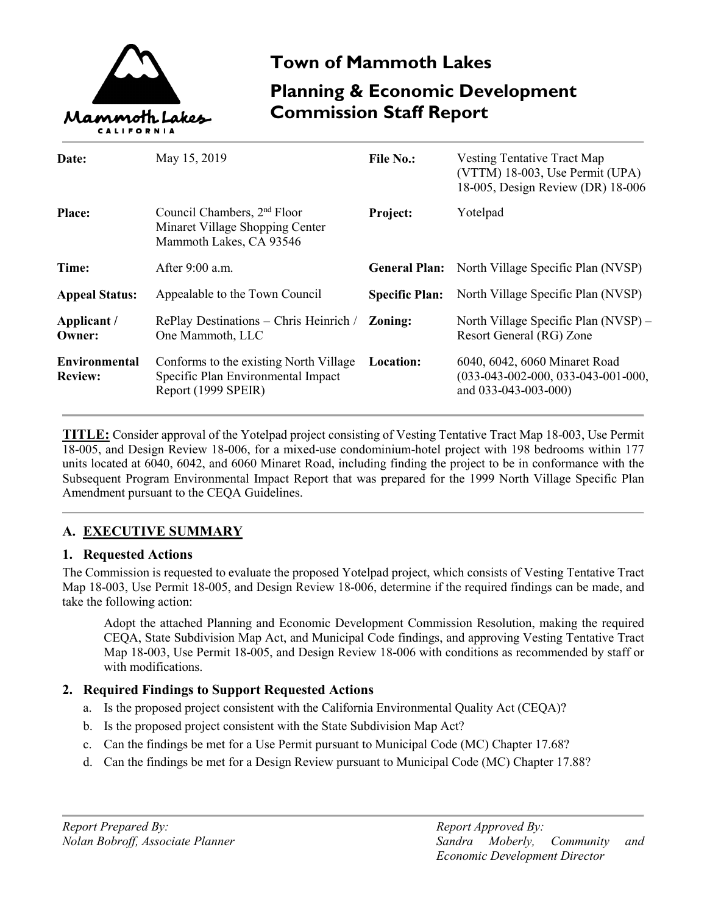

# **Town of Mammoth Lakes**

# **Planning & Economic Development Commission Staff Report**

| Date:                                  | May 15, 2019                                                                                          | <b>File No.:</b>      | Vesting Tentative Tract Map<br>(VTTM) 18-003, Use Permit (UPA)                                |
|----------------------------------------|-------------------------------------------------------------------------------------------------------|-----------------------|-----------------------------------------------------------------------------------------------|
| <b>Place:</b>                          | Council Chambers, 2 <sup>nd</sup> Floor<br>Minaret Village Shopping Center<br>Mammoth Lakes, CA 93546 | Project:              | 18-005, Design Review (DR) 18-006<br>Yotelpad                                                 |
| Time:                                  | After $9:00$ a.m.                                                                                     |                       | <b>General Plan:</b> North Village Specific Plan (NVSP)                                       |
| <b>Appeal Status:</b>                  | Appealable to the Town Council                                                                        | <b>Specific Plan:</b> | North Village Specific Plan (NVSP)                                                            |
| Applicant /<br>Owner:                  | RePlay Destinations - Chris Heinrich /<br>One Mammoth, LLC                                            | Zoning:               | North Village Specific Plan (NVSP) –<br>Resort General (RG) Zone                              |
| <b>Environmental</b><br><b>Review:</b> | Conforms to the existing North Village<br>Specific Plan Environmental Impact<br>Report (1999 SPEIR)   | Location:             | 6040, 6042, 6060 Minaret Road<br>$(033-043-002-000, 033-043-001-000,$<br>and 033-043-003-000) |

**TITLE:** Consider approval of the Yotelpad project consisting of Vesting Tentative Tract Map 18-003, Use Permit 18-005, and Design Review 18-006, for a mixed-use condominium-hotel project with 198 bedrooms within 177 units located at 6040, 6042, and 6060 Minaret Road, including finding the project to be in conformance with the Subsequent Program Environmental Impact Report that was prepared for the 1999 North Village Specific Plan Amendment pursuant to the CEQA Guidelines.

# **A. EXECUTIVE SUMMARY**

## **1. Requested Actions**

The Commission is requested to evaluate the proposed Yotelpad project, which consists of Vesting Tentative Tract Map 18-003, Use Permit 18-005, and Design Review 18-006, determine if the required findings can be made, and take the following action:

Adopt the attached Planning and Economic Development Commission Resolution, making the required CEQA, State Subdivision Map Act, and Municipal Code findings, and approving Vesting Tentative Tract Map 18-003, Use Permit 18-005, and Design Review 18-006 with conditions as recommended by staff or with modifications.

# **2. Required Findings to Support Requested Actions**

- a. Is the proposed project consistent with the California Environmental Quality Act (CEQA)?
- b. Is the proposed project consistent with the State Subdivision Map Act?
- c. Can the findings be met for a Use Permit pursuant to Municipal Code (MC) Chapter 17.68?
- d. Can the findings be met for a Design Review pursuant to Municipal Code (MC) Chapter 17.88?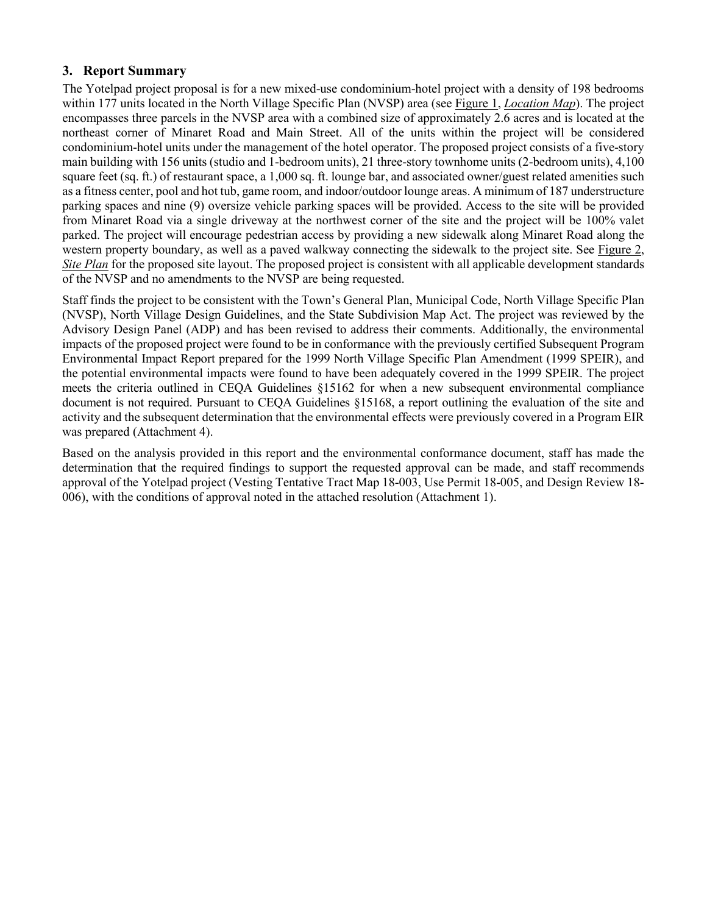## **3. Report Summary**

The Yotelpad project proposal is for a new mixed-use condominium-hotel project with a density of 198 bedrooms within 177 units located in the North Village Specific Plan (NVSP) area (see Figure 1, *Location Map*). The project encompasses three parcels in the NVSP area with a combined size of approximately 2.6 acres and is located at the northeast corner of Minaret Road and Main Street. All of the units within the project will be considered condominium-hotel units under the management of the hotel operator. The proposed project consists of a five-story main building with 156 units (studio and 1-bedroom units), 21 three-story townhome units (2-bedroom units), 4,100 square feet (sq. ft.) of restaurant space, a 1,000 sq. ft. lounge bar, and associated owner/guest related amenities such as a fitness center, pool and hot tub, game room, and indoor/outdoor lounge areas. A minimum of 187 understructure parking spaces and nine (9) oversize vehicle parking spaces will be provided. Access to the site will be provided from Minaret Road via a single driveway at the northwest corner of the site and the project will be 100% valet parked. The project will encourage pedestrian access by providing a new sidewalk along Minaret Road along the western property boundary, as well as a paved walkway connecting the sidewalk to the project site. See Figure 2, *Site Plan* for the proposed site layout. The proposed project is consistent with all applicable development standards of the NVSP and no amendments to the NVSP are being requested.

Staff finds the project to be consistent with the Town's General Plan, Municipal Code, North Village Specific Plan (NVSP), North Village Design Guidelines, and the State Subdivision Map Act. The project was reviewed by the Advisory Design Panel (ADP) and has been revised to address their comments. Additionally, the environmental impacts of the proposed project were found to be in conformance with the previously certified Subsequent Program Environmental Impact Report prepared for the 1999 North Village Specific Plan Amendment (1999 SPEIR), and the potential environmental impacts were found to have been adequately covered in the 1999 SPEIR. The project meets the criteria outlined in CEQA Guidelines §15162 for when a new subsequent environmental compliance document is not required. Pursuant to CEQA Guidelines §15168, a report outlining the evaluation of the site and activity and the subsequent determination that the environmental effects were previously covered in a Program EIR was prepared (Attachment 4).

Based on the analysis provided in this report and the environmental conformance document, staff has made the determination that the required findings to support the requested approval can be made, and staff recommends approval of the Yotelpad project (Vesting Tentative Tract Map 18-003, Use Permit 18-005, and Design Review 18- 006), with the conditions of approval noted in the attached resolution (Attachment 1).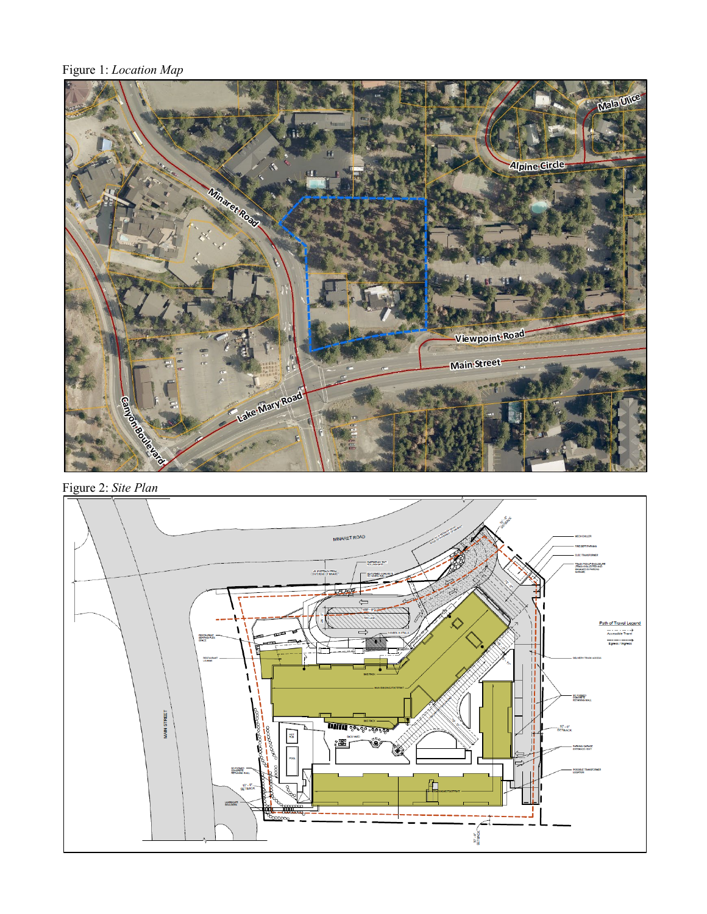Figure 1: *Location Map*



Figure 2: *Site Plan*

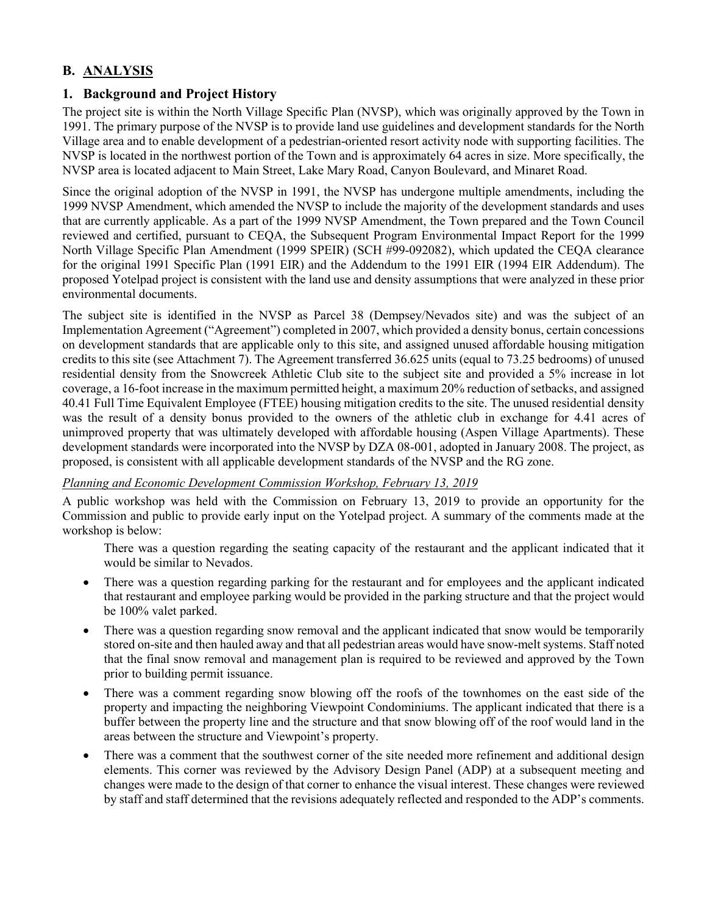# **B. ANALYSIS**

# **1. Background and Project History**

The project site is within the North Village Specific Plan (NVSP), which was originally approved by the Town in 1991. The primary purpose of the NVSP is to provide land use guidelines and development standards for the North Village area and to enable development of a pedestrian-oriented resort activity node with supporting facilities. The NVSP is located in the northwest portion of the Town and is approximately 64 acres in size. More specifically, the NVSP area is located adjacent to Main Street, Lake Mary Road, Canyon Boulevard, and Minaret Road.

Since the original adoption of the NVSP in 1991, the NVSP has undergone multiple amendments, including the 1999 NVSP Amendment, which amended the NVSP to include the majority of the development standards and uses that are currently applicable. As a part of the 1999 NVSP Amendment, the Town prepared and the Town Council reviewed and certified, pursuant to CEQA, the Subsequent Program Environmental Impact Report for the 1999 North Village Specific Plan Amendment (1999 SPEIR) (SCH #99-092082), which updated the CEQA clearance for the original 1991 Specific Plan (1991 EIR) and the Addendum to the 1991 EIR (1994 EIR Addendum). The proposed Yotelpad project is consistent with the land use and density assumptions that were analyzed in these prior environmental documents.

The subject site is identified in the NVSP as Parcel 38 (Dempsey/Nevados site) and was the subject of an Implementation Agreement ("Agreement") completed in 2007, which provided a density bonus, certain concessions on development standards that are applicable only to this site, and assigned unused affordable housing mitigation credits to this site (see Attachment 7). The Agreement transferred 36.625 units (equal to 73.25 bedrooms) of unused residential density from the Snowcreek Athletic Club site to the subject site and provided a 5% increase in lot coverage, a 16-foot increase in the maximum permitted height, a maximum 20% reduction of setbacks, and assigned 40.41 Full Time Equivalent Employee (FTEE) housing mitigation credits to the site. The unused residential density was the result of a density bonus provided to the owners of the athletic club in exchange for 4.41 acres of unimproved property that was ultimately developed with affordable housing (Aspen Village Apartments). These development standards were incorporated into the NVSP by DZA 08-001, adopted in January 2008. The project, as proposed, is consistent with all applicable development standards of the NVSP and the RG zone.

#### *Planning and Economic Development Commission Workshop, February 13, 2019*

A public workshop was held with the Commission on February 13, 2019 to provide an opportunity for the Commission and public to provide early input on the Yotelpad project. A summary of the comments made at the workshop is below:

There was a question regarding the seating capacity of the restaurant and the applicant indicated that it would be similar to Nevados.

- There was a question regarding parking for the restaurant and for employees and the applicant indicated that restaurant and employee parking would be provided in the parking structure and that the project would be 100% valet parked.
- There was a question regarding snow removal and the applicant indicated that snow would be temporarily stored on-site and then hauled away and that all pedestrian areas would have snow-melt systems. Staff noted that the final snow removal and management plan is required to be reviewed and approved by the Town prior to building permit issuance.
- There was a comment regarding snow blowing off the roofs of the townhomes on the east side of the property and impacting the neighboring Viewpoint Condominiums. The applicant indicated that there is a buffer between the property line and the structure and that snow blowing off of the roof would land in the areas between the structure and Viewpoint's property.
- There was a comment that the southwest corner of the site needed more refinement and additional design elements. This corner was reviewed by the Advisory Design Panel (ADP) at a subsequent meeting and changes were made to the design of that corner to enhance the visual interest. These changes were reviewed by staff and staff determined that the revisions adequately reflected and responded to the ADP's comments.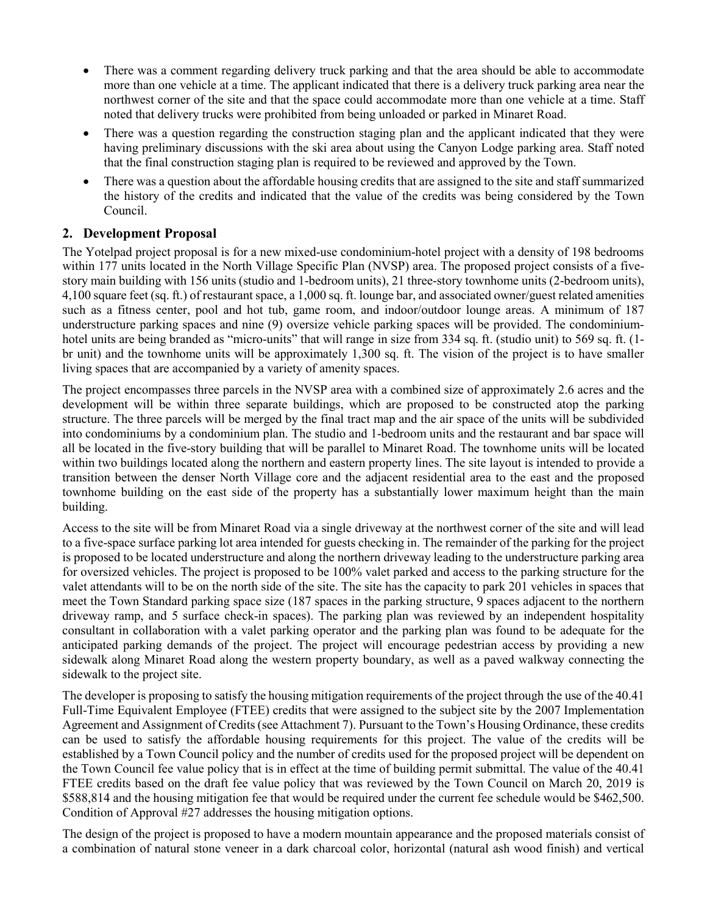- There was a comment regarding delivery truck parking and that the area should be able to accommodate more than one vehicle at a time. The applicant indicated that there is a delivery truck parking area near the northwest corner of the site and that the space could accommodate more than one vehicle at a time. Staff noted that delivery trucks were prohibited from being unloaded or parked in Minaret Road.
- There was a question regarding the construction staging plan and the applicant indicated that they were having preliminary discussions with the ski area about using the Canyon Lodge parking area. Staff noted that the final construction staging plan is required to be reviewed and approved by the Town.
- There was a question about the affordable housing credits that are assigned to the site and staff summarized the history of the credits and indicated that the value of the credits was being considered by the Town Council.

## **2. Development Proposal**

The Yotelpad project proposal is for a new mixed-use condominium-hotel project with a density of 198 bedrooms within 177 units located in the North Village Specific Plan (NVSP) area. The proposed project consists of a fivestory main building with 156 units (studio and 1-bedroom units), 21 three-story townhome units (2-bedroom units), 4,100 square feet (sq. ft.) of restaurant space, a 1,000 sq. ft. lounge bar, and associated owner/guest related amenities such as a fitness center, pool and hot tub, game room, and indoor/outdoor lounge areas. A minimum of 187 understructure parking spaces and nine (9) oversize vehicle parking spaces will be provided. The condominiumhotel units are being branded as "micro-units" that will range in size from 334 sq. ft. (studio unit) to 569 sq. ft. (1br unit) and the townhome units will be approximately 1,300 sq. ft. The vision of the project is to have smaller living spaces that are accompanied by a variety of amenity spaces.

The project encompasses three parcels in the NVSP area with a combined size of approximately 2.6 acres and the development will be within three separate buildings, which are proposed to be constructed atop the parking structure. The three parcels will be merged by the final tract map and the air space of the units will be subdivided into condominiums by a condominium plan. The studio and 1-bedroom units and the restaurant and bar space will all be located in the five-story building that will be parallel to Minaret Road. The townhome units will be located within two buildings located along the northern and eastern property lines. The site layout is intended to provide a transition between the denser North Village core and the adjacent residential area to the east and the proposed townhome building on the east side of the property has a substantially lower maximum height than the main building.

Access to the site will be from Minaret Road via a single driveway at the northwest corner of the site and will lead to a five-space surface parking lot area intended for guests checking in. The remainder of the parking for the project is proposed to be located understructure and along the northern driveway leading to the understructure parking area for oversized vehicles. The project is proposed to be 100% valet parked and access to the parking structure for the valet attendants will to be on the north side of the site. The site has the capacity to park 201 vehicles in spaces that meet the Town Standard parking space size (187 spaces in the parking structure, 9 spaces adjacent to the northern driveway ramp, and 5 surface check-in spaces). The parking plan was reviewed by an independent hospitality consultant in collaboration with a valet parking operator and the parking plan was found to be adequate for the anticipated parking demands of the project. The project will encourage pedestrian access by providing a new sidewalk along Minaret Road along the western property boundary, as well as a paved walkway connecting the sidewalk to the project site.

The developer is proposing to satisfy the housing mitigation requirements of the project through the use of the 40.41 Full-Time Equivalent Employee (FTEE) credits that were assigned to the subject site by the 2007 Implementation Agreement and Assignment of Credits(see Attachment 7). Pursuant to the Town's Housing Ordinance, these credits can be used to satisfy the affordable housing requirements for this project. The value of the credits will be established by a Town Council policy and the number of credits used for the proposed project will be dependent on the Town Council fee value policy that is in effect at the time of building permit submittal. The value of the 40.41 FTEE credits based on the draft fee value policy that was reviewed by the Town Council on March 20, 2019 is \$588,814 and the housing mitigation fee that would be required under the current fee schedule would be \$462,500. Condition of Approval #27 addresses the housing mitigation options.

The design of the project is proposed to have a modern mountain appearance and the proposed materials consist of a combination of natural stone veneer in a dark charcoal color, horizontal (natural ash wood finish) and vertical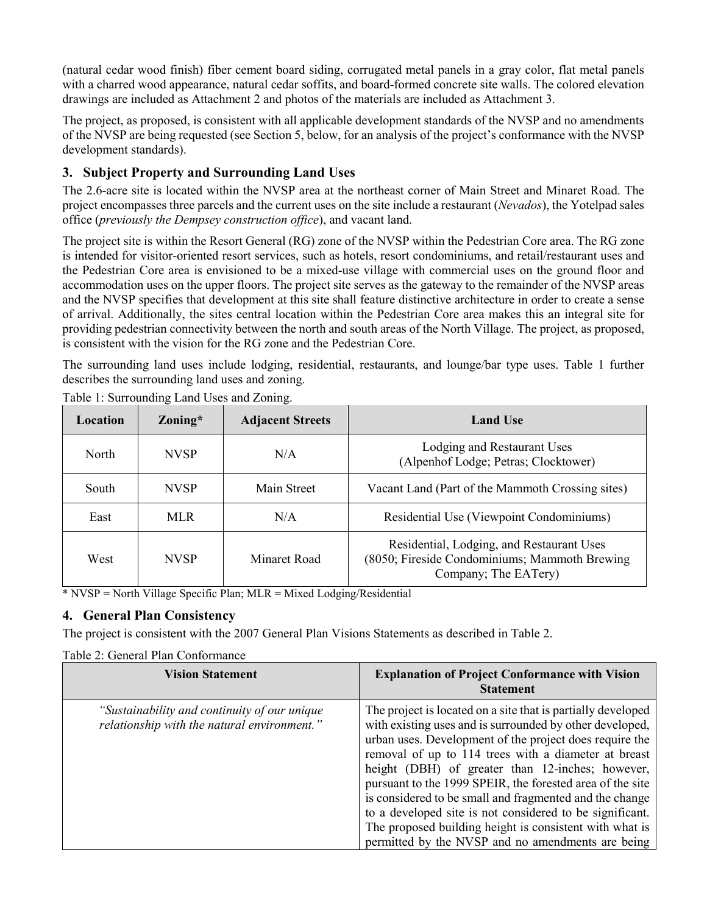(natural cedar wood finish) fiber cement board siding, corrugated metal panels in a gray color, flat metal panels with a charred wood appearance, natural cedar soffits, and board-formed concrete site walls. The colored elevation drawings are included as Attachment 2 and photos of the materials are included as Attachment 3.

The project, as proposed, is consistent with all applicable development standards of the NVSP and no amendments of the NVSP are being requested (see Section 5, below, for an analysis of the project's conformance with the NVSP development standards).

# **3. Subject Property and Surrounding Land Uses**

The 2.6-acre site is located within the NVSP area at the northeast corner of Main Street and Minaret Road. The project encompasses three parcels and the current uses on the site include a restaurant (*Nevados*), the Yotelpad sales office (*previously the Dempsey construction office*), and vacant land.

The project site is within the Resort General (RG) zone of the NVSP within the Pedestrian Core area. The RG zone is intended for visitor-oriented resort services, such as hotels, resort condominiums, and retail/restaurant uses and the Pedestrian Core area is envisioned to be a mixed-use village with commercial uses on the ground floor and accommodation uses on the upper floors. The project site serves as the gateway to the remainder of the NVSP areas and the NVSP specifies that development at this site shall feature distinctive architecture in order to create a sense of arrival. Additionally, the sites central location within the Pedestrian Core area makes this an integral site for providing pedestrian connectivity between the north and south areas of the North Village. The project, as proposed, is consistent with the vision for the RG zone and the Pedestrian Core.

The surrounding land uses include lodging, residential, restaurants, and lounge/bar type uses. Table 1 further describes the surrounding land uses and zoning.

| Location     | $\sum_{\text{V}}$ | <b>Adjacent Streets</b> | <b>Land Use</b>                                                                                                    |
|--------------|-------------------|-------------------------|--------------------------------------------------------------------------------------------------------------------|
| <b>North</b> | <b>NVSP</b>       | N/A                     | Lodging and Restaurant Uses<br>(Alpenhof Lodge; Petras; Clocktower)                                                |
| South        | <b>NVSP</b>       | Main Street             | Vacant Land (Part of the Mammoth Crossing sites)                                                                   |
| East         | <b>MLR</b>        | N/A                     | Residential Use (Viewpoint Condominiums)                                                                           |
| West         | <b>NVSP</b>       | Minaret Road            | Residential, Lodging, and Restaurant Uses<br>(8050; Fireside Condominiums; Mammoth Brewing<br>Company; The EATery) |

Table 1: Surrounding Land Uses and Zoning.

\* NVSP = North Village Specific Plan; MLR = Mixed Lodging/Residential

# **4. General Plan Consistency**

The project is consistent with the 2007 General Plan Visions Statements as described in Table 2.

| <b>Vision Statement</b>                                                                     | <b>Explanation of Project Conformance with Vision</b><br><b>Statement</b>                                                                                                                                                                                                                                                                                                                                                                                                                                                                                                                           |  |  |
|---------------------------------------------------------------------------------------------|-----------------------------------------------------------------------------------------------------------------------------------------------------------------------------------------------------------------------------------------------------------------------------------------------------------------------------------------------------------------------------------------------------------------------------------------------------------------------------------------------------------------------------------------------------------------------------------------------------|--|--|
| "Sustainability and continuity of our unique<br>relationship with the natural environment." | The project is located on a site that is partially developed<br>with existing uses and is surrounded by other developed,<br>urban uses. Development of the project does require the<br>removal of up to 114 trees with a diameter at breast<br>height (DBH) of greater than 12-inches; however,<br>pursuant to the 1999 SPEIR, the forested area of the site<br>is considered to be small and fragmented and the change<br>to a developed site is not considered to be significant.<br>The proposed building height is consistent with what is<br>permitted by the NVSP and no amendments are being |  |  |

Table 2: General Plan Conformance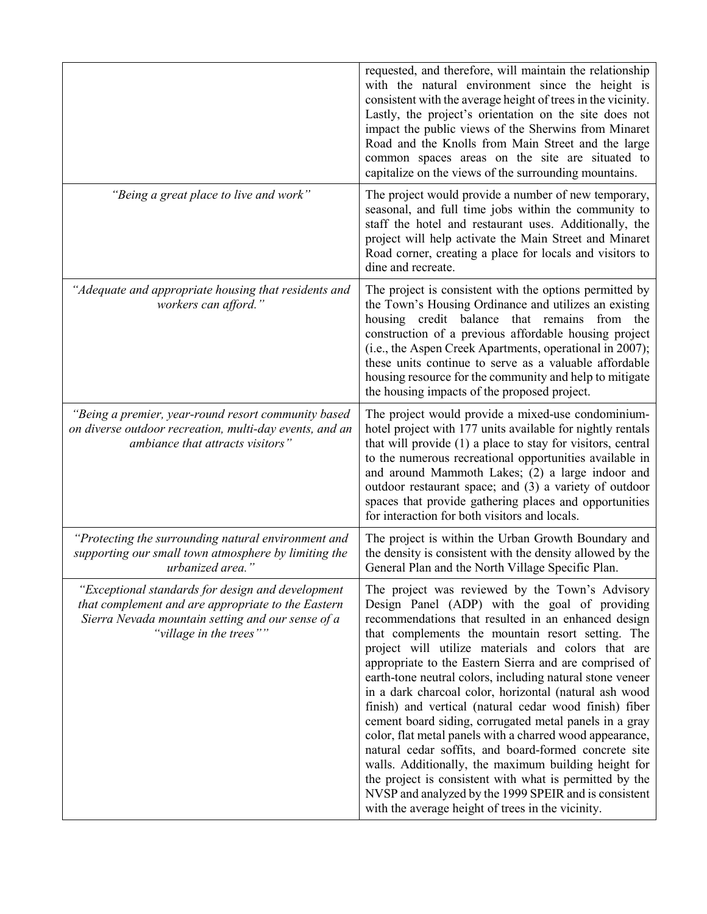|                                                                                                                                                                                         | requested, and therefore, will maintain the relationship<br>with the natural environment since the height is<br>consistent with the average height of trees in the vicinity.<br>Lastly, the project's orientation on the site does not<br>impact the public views of the Sherwins from Minaret<br>Road and the Knolls from Main Street and the large<br>common spaces areas on the site are situated to<br>capitalize on the views of the surrounding mountains.                                                                                                                                                                                                                                                                                                                                                                                                                                                              |
|-----------------------------------------------------------------------------------------------------------------------------------------------------------------------------------------|-------------------------------------------------------------------------------------------------------------------------------------------------------------------------------------------------------------------------------------------------------------------------------------------------------------------------------------------------------------------------------------------------------------------------------------------------------------------------------------------------------------------------------------------------------------------------------------------------------------------------------------------------------------------------------------------------------------------------------------------------------------------------------------------------------------------------------------------------------------------------------------------------------------------------------|
| "Being a great place to live and work"                                                                                                                                                  | The project would provide a number of new temporary,<br>seasonal, and full time jobs within the community to<br>staff the hotel and restaurant uses. Additionally, the<br>project will help activate the Main Street and Minaret<br>Road corner, creating a place for locals and visitors to<br>dine and recreate.                                                                                                                                                                                                                                                                                                                                                                                                                                                                                                                                                                                                            |
| "Adequate and appropriate housing that residents and<br>workers can afford."                                                                                                            | The project is consistent with the options permitted by<br>the Town's Housing Ordinance and utilizes an existing<br>housing credit balance that remains from the<br>construction of a previous affordable housing project<br>(i.e., the Aspen Creek Apartments, operational in 2007);<br>these units continue to serve as a valuable affordable<br>housing resource for the community and help to mitigate<br>the housing impacts of the proposed project.                                                                                                                                                                                                                                                                                                                                                                                                                                                                    |
| "Being a premier, year-round resort community based<br>on diverse outdoor recreation, multi-day events, and an<br>ambiance that attracts visitors"                                      | The project would provide a mixed-use condominium-<br>hotel project with 177 units available for nightly rentals<br>that will provide (1) a place to stay for visitors, central<br>to the numerous recreational opportunities available in<br>and around Mammoth Lakes; (2) a large indoor and<br>outdoor restaurant space; and (3) a variety of outdoor<br>spaces that provide gathering places and opportunities<br>for interaction for both visitors and locals.                                                                                                                                                                                                                                                                                                                                                                                                                                                           |
| "Protecting the surrounding natural environment and<br>supporting our small town atmosphere by limiting the<br>urbanized area."                                                         | The project is within the Urban Growth Boundary and<br>the density is consistent with the density allowed by the<br>General Plan and the North Village Specific Plan.                                                                                                                                                                                                                                                                                                                                                                                                                                                                                                                                                                                                                                                                                                                                                         |
| "Exceptional standards for design and development<br>that complement and are appropriate to the Eastern<br>Sierra Nevada mountain setting and our sense of a<br>"village in the trees"" | The project was reviewed by the Town's Advisory<br>Design Panel (ADP) with the goal of providing<br>recommendations that resulted in an enhanced design<br>that complements the mountain resort setting. The<br>project will utilize materials and colors that are<br>appropriate to the Eastern Sierra and are comprised of<br>earth-tone neutral colors, including natural stone veneer<br>in a dark charcoal color, horizontal (natural ash wood<br>finish) and vertical (natural cedar wood finish) fiber<br>cement board siding, corrugated metal panels in a gray<br>color, flat metal panels with a charred wood appearance,<br>natural cedar soffits, and board-formed concrete site<br>walls. Additionally, the maximum building height for<br>the project is consistent with what is permitted by the<br>NVSP and analyzed by the 1999 SPEIR and is consistent<br>with the average height of trees in the vicinity. |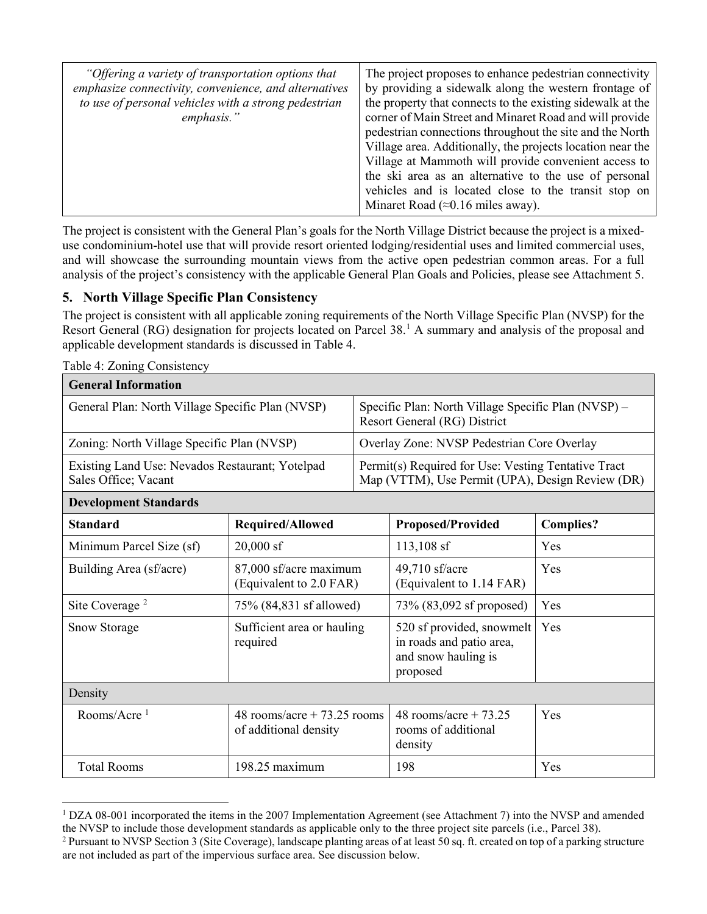| "Offering a variety of transportation options that<br>emphasize connectivity, convenience, and alternatives<br>to use of personal vehicles with a strong pedestrian<br>emphasis." | The project proposes to enhance pedestrian connectivity<br>by providing a sidewalk along the western frontage of<br>the property that connects to the existing sidewalk at the<br>corner of Main Street and Minaret Road and will provide<br>pedestrian connections throughout the site and the North<br>Village area. Additionally, the projects location near the<br>Village at Mammoth will provide convenient access to<br>the ski area as an alternative to the use of personal<br>vehicles and is located close to the transit stop on<br>Minaret Road ( $\approx 0.16$ miles away). |
|-----------------------------------------------------------------------------------------------------------------------------------------------------------------------------------|--------------------------------------------------------------------------------------------------------------------------------------------------------------------------------------------------------------------------------------------------------------------------------------------------------------------------------------------------------------------------------------------------------------------------------------------------------------------------------------------------------------------------------------------------------------------------------------------|
|-----------------------------------------------------------------------------------------------------------------------------------------------------------------------------------|--------------------------------------------------------------------------------------------------------------------------------------------------------------------------------------------------------------------------------------------------------------------------------------------------------------------------------------------------------------------------------------------------------------------------------------------------------------------------------------------------------------------------------------------------------------------------------------------|

The project is consistent with the General Plan's goals for the North Village District because the project is a mixeduse condominium-hotel use that will provide resort oriented lodging/residential uses and limited commercial uses, and will showcase the surrounding mountain views from the active open pedestrian common areas. For a full analysis of the project's consistency with the applicable General Plan Goals and Policies, please see Attachment 5.

# **5. North Village Specific Plan Consistency**

The project is consistent with all applicable zoning requirements of the North Village Specific Plan (NVSP) for the Resort General (RG) designation for projects located on Parcel 38. [1](#page-7-0) A summary and analysis of the proposal and applicable development standards is discussed in Table 4.

| <b>General Information</b>                                              |                  |                                                                                                         |                   |           |
|-------------------------------------------------------------------------|------------------|---------------------------------------------------------------------------------------------------------|-------------------|-----------|
| General Plan: North Village Specific Plan (NVSP)                        |                  | Specific Plan: North Village Specific Plan (NVSP) –<br>Resort General (RG) District                     |                   |           |
| Zoning: North Village Specific Plan (NVSP)                              |                  | Overlay Zone: NVSP Pedestrian Core Overlay                                                              |                   |           |
| Existing Land Use: Nevados Restaurant; Yotelpad<br>Sales Office; Vacant |                  | Permit(s) Required for Use: Vesting Tentative Tract<br>Map (VTTM), Use Permit (UPA), Design Review (DR) |                   |           |
| <b>Development Standards</b>                                            |                  |                                                                                                         |                   |           |
| Standard                                                                | Required/Allowed |                                                                                                         | Proposed/Provided | Complies? |

Table 4: Zoning Consistency

| <b>Development Standards</b> |                                                      |                                                                                          |                  |  |
|------------------------------|------------------------------------------------------|------------------------------------------------------------------------------------------|------------------|--|
| <b>Standard</b>              | <b>Required/Allowed</b>                              | <b>Proposed/Provided</b>                                                                 | <b>Complies?</b> |  |
| Minimum Parcel Size (sf)     | $20,000$ sf                                          | $113,108$ sf                                                                             | Yes              |  |
| Building Area (sf/acre)      | 87,000 sf/acre maximum<br>(Equivalent to 2.0 FAR)    | 49,710 sf/acre<br>(Equivalent to 1.14 FAR)                                               | Yes              |  |
| Site Coverage <sup>2</sup>   | 75% (84,831 sf allowed)                              | 73% (83,092 sf proposed)                                                                 | Yes              |  |
| <b>Snow Storage</b>          | Sufficient area or hauling<br>required               | 520 sf provided, snowmelt<br>in roads and patio area,<br>and snow hauling is<br>proposed | Yes              |  |
| Density                      |                                                      |                                                                                          |                  |  |
| Rooms/Acre $1$               | 48 rooms/acre + 73.25 rooms<br>of additional density | 48 rooms/acre + $73.25$<br>rooms of additional<br>density                                | Yes              |  |
| <b>Total Rooms</b>           | $198.25$ maximum                                     | 198                                                                                      | Yes              |  |

<span id="page-7-0"></span><sup>&</sup>lt;sup>1</sup> DZA 08-001 incorporated the items in the 2007 Implementation Agreement (see Attachment 7) into the NVSP and amended the NVSP to include those development standards as applicable only to the three project site parcels (i.e., Parcel 38).

<span id="page-7-1"></span><sup>2</sup> Pursuant to NVSP Section 3 (Site Coverage), landscape planting areas of at least 50 sq. ft. created on top of a parking structure are not included as part of the impervious surface area. See discussion below.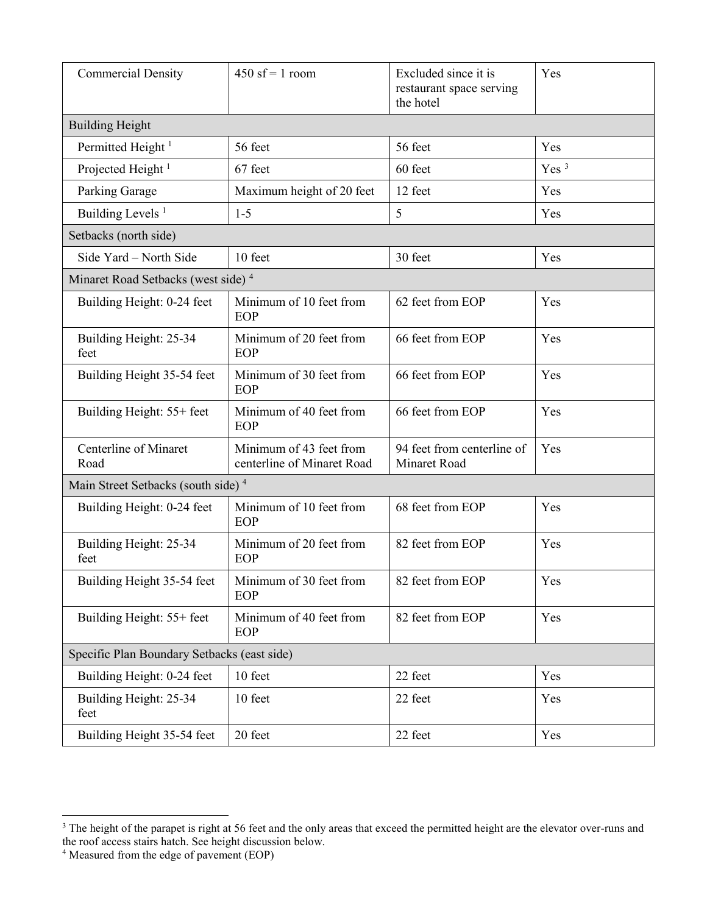| <b>Commercial Density</b>                      | $450$ sf = 1 room<br>Excluded since it is<br>restaurant space serving<br>the hotel |                                            | Yes              |
|------------------------------------------------|------------------------------------------------------------------------------------|--------------------------------------------|------------------|
| <b>Building Height</b>                         |                                                                                    |                                            |                  |
| Permitted Height <sup>1</sup>                  | 56 feet                                                                            | 56 feet                                    | Yes              |
| Projected Height <sup>1</sup>                  | 67 feet                                                                            | 60 feet                                    | Yes <sup>3</sup> |
| Parking Garage                                 | Maximum height of 20 feet                                                          | 12 feet                                    | Yes              |
| Building Levels <sup>1</sup>                   | $1 - 5$                                                                            | 5                                          | Yes              |
| Setbacks (north side)                          |                                                                                    |                                            |                  |
| Side Yard - North Side                         | 10 feet                                                                            | 30 feet                                    | Yes              |
| Minaret Road Setbacks (west side) <sup>4</sup> |                                                                                    |                                            |                  |
| Building Height: 0-24 feet                     | Minimum of 10 feet from<br>EOP                                                     | 62 feet from EOP                           | Yes              |
| Building Height: 25-34<br>feet                 | Minimum of 20 feet from<br>EOP                                                     | 66 feet from EOP                           | Yes              |
| Building Height 35-54 feet                     | Minimum of 30 feet from<br>EOP                                                     | 66 feet from EOP                           | Yes              |
| Building Height: 55+ feet                      | Minimum of 40 feet from<br>EOP                                                     | 66 feet from EOP                           | Yes              |
| Centerline of Minaret<br>Road                  | Minimum of 43 feet from<br>centerline of Minaret Road                              | 94 feet from centerline of<br>Minaret Road | Yes              |
| Main Street Setbacks (south side) <sup>4</sup> |                                                                                    |                                            |                  |
| Building Height: 0-24 feet                     | Minimum of 10 feet from<br>EOP                                                     | 68 feet from EOP                           | Yes              |
| Building Height: 25-34<br>feet                 | Minimum of 20 feet from<br>EOP                                                     | 82 feet from EOP                           | Yes              |
| Building Height 35-54 feet                     | Minimum of 30 feet from<br>EOP                                                     | 82 feet from EOP                           | Yes              |
| Building Height: 55+ feet                      | Minimum of 40 feet from<br>EOP                                                     | 82 feet from EOP                           | Yes              |
| Specific Plan Boundary Setbacks (east side)    |                                                                                    |                                            |                  |
| Building Height: 0-24 feet                     | 10 feet                                                                            | 22 feet                                    | Yes              |
| Building Height: 25-34<br>feet                 | 10 feet                                                                            | 22 feet                                    | Yes              |
| Building Height 35-54 feet                     | 20 feet                                                                            | 22 feet                                    | Yes              |

<span id="page-8-0"></span><sup>&</sup>lt;sup>3</sup> The height of the parapet is right at 56 feet and the only areas that exceed the permitted height are the elevator over-runs and the roof access stairs hatch. See height discussion below.

<span id="page-8-1"></span> $4$  Measured from the edge of pavement (EOP)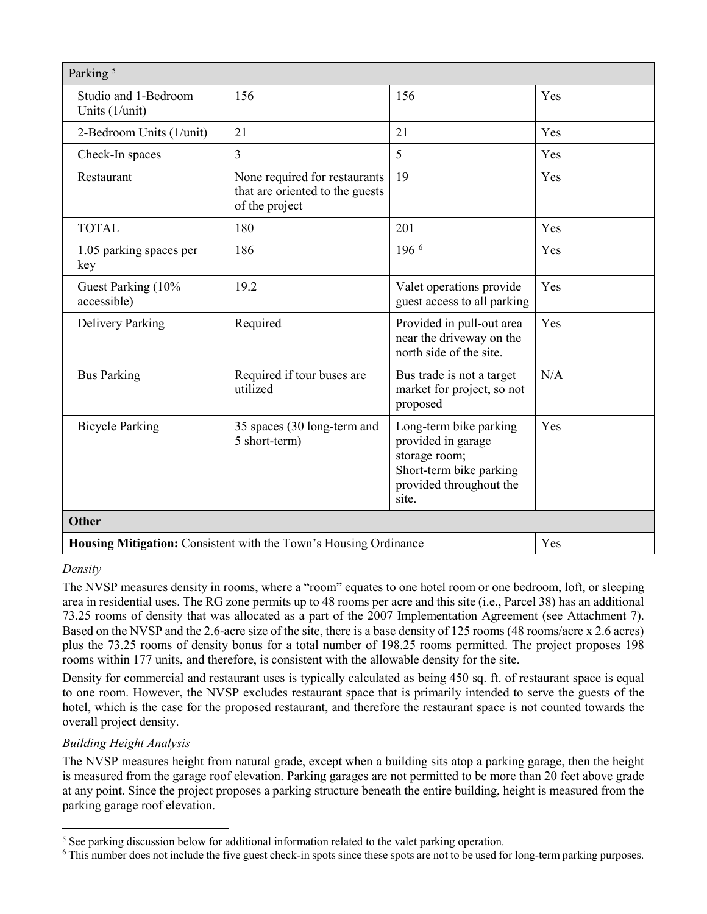| Parking <sup>5</sup>                   |                                                                                    |                                                                                                                              |     |  |
|----------------------------------------|------------------------------------------------------------------------------------|------------------------------------------------------------------------------------------------------------------------------|-----|--|
| Studio and 1-Bedroom<br>Units (1/unit) | 156                                                                                | 156                                                                                                                          | Yes |  |
| 2-Bedroom Units (1/unit)               | 21                                                                                 | 21                                                                                                                           | Yes |  |
| Check-In spaces                        | $\overline{3}$                                                                     | 5                                                                                                                            | Yes |  |
| Restaurant                             | None required for restaurants<br>that are oriented to the guests<br>of the project | 19                                                                                                                           | Yes |  |
| <b>TOTAL</b>                           | 180                                                                                | 201                                                                                                                          | Yes |  |
| 1.05 parking spaces per<br>key         | 186                                                                                | $196^{6}$                                                                                                                    | Yes |  |
| Guest Parking (10%<br>accessible)      | 19.2                                                                               | Valet operations provide<br>guest access to all parking                                                                      | Yes |  |
| Delivery Parking                       | Required                                                                           | Provided in pull-out area<br>near the driveway on the<br>north side of the site.                                             | Yes |  |
| <b>Bus Parking</b>                     | Required if tour buses are<br>utilized                                             | Bus trade is not a target<br>market for project, so not<br>proposed                                                          | N/A |  |
| <b>Bicycle Parking</b>                 | 35 spaces (30 long-term and<br>5 short-term)                                       | Long-term bike parking<br>provided in garage<br>storage room;<br>Short-term bike parking<br>provided throughout the<br>site. | Yes |  |
| <b>Other</b>                           |                                                                                    |                                                                                                                              |     |  |
|                                        | Housing Mitigation: Consistent with the Town's Housing Ordinance<br>Yes            |                                                                                                                              |     |  |

#### *Density*

The NVSP measures density in rooms, where a "room" equates to one hotel room or one bedroom, loft, or sleeping area in residential uses. The RG zone permits up to 48 rooms per acre and this site (i.e., Parcel 38) has an additional 73.25 rooms of density that was allocated as a part of the 2007 Implementation Agreement (see Attachment 7). Based on the NVSP and the 2.6-acre size of the site, there is a base density of 125 rooms (48 rooms/acre x 2.6 acres) plus the 73.25 rooms of density bonus for a total number of 198.25 rooms permitted. The project proposes 198 rooms within 177 units, and therefore, is consistent with the allowable density for the site.

Density for commercial and restaurant uses is typically calculated as being 450 sq. ft. of restaurant space is equal to one room. However, the NVSP excludes restaurant space that is primarily intended to serve the guests of the hotel, which is the case for the proposed restaurant, and therefore the restaurant space is not counted towards the overall project density.

## *Building Height Analysis*

The NVSP measures height from natural grade, except when a building sits atop a parking garage, then the height is measured from the garage roof elevation. Parking garages are not permitted to be more than 20 feet above grade at any point. Since the project proposes a parking structure beneath the entire building, height is measured from the parking garage roof elevation.

<span id="page-9-0"></span><sup>&</sup>lt;sup>5</sup> See parking discussion below for additional information related to the valet parking operation.

<span id="page-9-1"></span><sup>&</sup>lt;sup>6</sup> This number does not include the five guest check-in spots since these spots are not to be used for long-term parking purposes.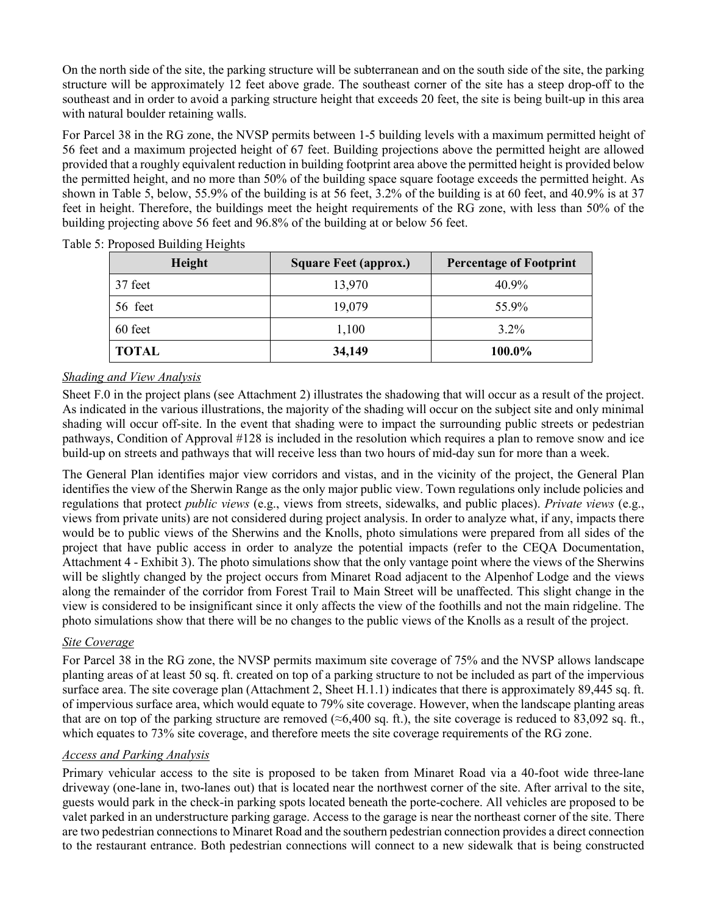On the north side of the site, the parking structure will be subterranean and on the south side of the site, the parking structure will be approximately 12 feet above grade. The southeast corner of the site has a steep drop-off to the southeast and in order to avoid a parking structure height that exceeds 20 feet, the site is being built-up in this area with natural boulder retaining walls.

For Parcel 38 in the RG zone, the NVSP permits between 1-5 building levels with a maximum permitted height of 56 feet and a maximum projected height of 67 feet. Building projections above the permitted height are allowed provided that a roughly equivalent reduction in building footprint area above the permitted height is provided below the permitted height, and no more than 50% of the building space square footage exceeds the permitted height. As shown in Table 5, below, 55.9% of the building is at 56 feet, 3.2% of the building is at 60 feet, and 40.9% is at 37 feet in height. Therefore, the buildings meet the height requirements of the RG zone, with less than 50% of the building projecting above 56 feet and 96.8% of the building at or below 56 feet.

| Height       | <b>Square Feet (approx.)</b> | <b>Percentage of Footprint</b> |
|--------------|------------------------------|--------------------------------|
| 37 feet      | 13,970                       | 40.9%                          |
| 56 feet      | 19,079                       | 55.9%                          |
| 60 feet      | 1,100                        | $3.2\%$                        |
| <b>TOTAL</b> | 34,149                       | 100.0%                         |

Table 5: Proposed Building Heights

#### *Shading and View Analysis*

Sheet F.0 in the project plans (see Attachment 2) illustrates the shadowing that will occur as a result of the project. As indicated in the various illustrations, the majority of the shading will occur on the subject site and only minimal shading will occur off-site. In the event that shading were to impact the surrounding public streets or pedestrian pathways, Condition of Approval #128 is included in the resolution which requires a plan to remove snow and ice build-up on streets and pathways that will receive less than two hours of mid-day sun for more than a week.

The General Plan identifies major view corridors and vistas, and in the vicinity of the project, the General Plan identifies the view of the Sherwin Range as the only major public view. Town regulations only include policies and regulations that protect *public views* (e.g., views from streets, sidewalks, and public places). *Private views* (e.g., views from private units) are not considered during project analysis. In order to analyze what, if any, impacts there would be to public views of the Sherwins and the Knolls, photo simulations were prepared from all sides of the project that have public access in order to analyze the potential impacts (refer to the CEQA Documentation, Attachment 4 - Exhibit 3). The photo simulations show that the only vantage point where the views of the Sherwins will be slightly changed by the project occurs from Minaret Road adjacent to the Alpenhof Lodge and the views along the remainder of the corridor from Forest Trail to Main Street will be unaffected. This slight change in the view is considered to be insignificant since it only affects the view of the foothills and not the main ridgeline. The photo simulations show that there will be no changes to the public views of the Knolls as a result of the project.

#### *Site Coverage*

For Parcel 38 in the RG zone, the NVSP permits maximum site coverage of 75% and the NVSP allows landscape planting areas of at least 50 sq. ft. created on top of a parking structure to not be included as part of the impervious surface area. The site coverage plan (Attachment 2, Sheet H.1.1) indicates that there is approximately 89,445 sq. ft. of impervious surface area, which would equate to 79% site coverage. However, when the landscape planting areas that are on top of the parking structure are removed ( $\approx$ 6,400 sq. ft.), the site coverage is reduced to 83,092 sq. ft., which equates to 73% site coverage, and therefore meets the site coverage requirements of the RG zone.

#### *Access and Parking Analysis*

Primary vehicular access to the site is proposed to be taken from Minaret Road via a 40-foot wide three-lane driveway (one-lane in, two-lanes out) that is located near the northwest corner of the site. After arrival to the site, guests would park in the check-in parking spots located beneath the porte-cochere. All vehicles are proposed to be valet parked in an understructure parking garage. Access to the garage is near the northeast corner of the site. There are two pedestrian connections to Minaret Road and the southern pedestrian connection provides a direct connection to the restaurant entrance. Both pedestrian connections will connect to a new sidewalk that is being constructed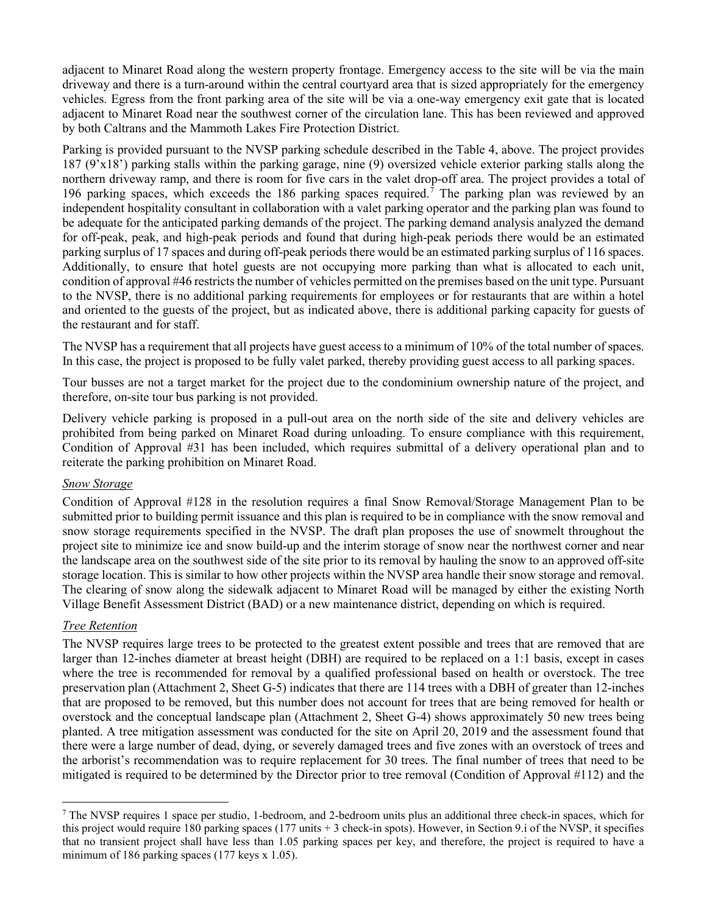adjacent to Minaret Road along the western property frontage. Emergency access to the site will be via the main driveway and there is a turn-around within the central courtyard area that is sized appropriately for the emergency vehicles. Egress from the front parking area of the site will be via a one-way emergency exit gate that is located adjacent to Minaret Road near the southwest corner of the circulation lane. This has been reviewed and approved by both Caltrans and the Mammoth Lakes Fire Protection District.

Parking is provided pursuant to the NVSP parking schedule described in the Table 4, above. The project provides 187 (9'x18') parking stalls within the parking garage, nine (9) oversized vehicle exterior parking stalls along the northern driveway ramp, and there is room for five cars in the valet drop-off area. The project provides a total of 196 parking spaces, which exceeds the 186 parking spaces required.[7](#page-11-0) The parking plan was reviewed by an independent hospitality consultant in collaboration with a valet parking operator and the parking plan was found to be adequate for the anticipated parking demands of the project. The parking demand analysis analyzed the demand for off-peak, peak, and high-peak periods and found that during high-peak periods there would be an estimated parking surplus of 17 spaces and during off-peak periods there would be an estimated parking surplus of 116 spaces. Additionally, to ensure that hotel guests are not occupying more parking than what is allocated to each unit, condition of approval #46 restricts the number of vehicles permitted on the premises based on the unit type. Pursuant to the NVSP, there is no additional parking requirements for employees or for restaurants that are within a hotel and oriented to the guests of the project, but as indicated above, there is additional parking capacity for guests of the restaurant and for staff.

The NVSP has a requirement that all projects have guest access to a minimum of 10% of the total number of spaces. In this case, the project is proposed to be fully valet parked, thereby providing guest access to all parking spaces.

Tour busses are not a target market for the project due to the condominium ownership nature of the project, and therefore, on-site tour bus parking is not provided.

Delivery vehicle parking is proposed in a pull-out area on the north side of the site and delivery vehicles are prohibited from being parked on Minaret Road during unloading. To ensure compliance with this requirement, Condition of Approval #31 has been included, which requires submittal of a delivery operational plan and to reiterate the parking prohibition on Minaret Road.

#### *Snow Storage*

Condition of Approval #128 in the resolution requires a final Snow Removal/Storage Management Plan to be submitted prior to building permit issuance and this plan is required to be in compliance with the snow removal and snow storage requirements specified in the NVSP. The draft plan proposes the use of snowmelt throughout the project site to minimize ice and snow build-up and the interim storage of snow near the northwest corner and near the landscape area on the southwest side of the site prior to its removal by hauling the snow to an approved off-site storage location. This is similar to how other projects within the NVSP area handle their snow storage and removal. The clearing of snow along the sidewalk adjacent to Minaret Road will be managed by either the existing North Village Benefit Assessment District (BAD) or a new maintenance district, depending on which is required.

#### *Tree Retention*

The NVSP requires large trees to be protected to the greatest extent possible and trees that are removed that are larger than 12-inches diameter at breast height (DBH) are required to be replaced on a 1:1 basis, except in cases where the tree is recommended for removal by a qualified professional based on health or overstock. The tree preservation plan (Attachment 2, Sheet G-5) indicates that there are 114 trees with a DBH of greater than 12-inches that are proposed to be removed, but this number does not account for trees that are being removed for health or overstock and the conceptual landscape plan (Attachment 2, Sheet G-4) shows approximately 50 new trees being planted. A tree mitigation assessment was conducted for the site on April 20, 2019 and the assessment found that there were a large number of dead, dying, or severely damaged trees and five zones with an overstock of trees and the arborist's recommendation was to require replacement for 30 trees. The final number of trees that need to be mitigated is required to be determined by the Director prior to tree removal (Condition of Approval #112) and the

<span id="page-11-0"></span> $<sup>7</sup>$  The NVSP requires 1 space per studio, 1-bedroom, and 2-bedroom units plus an additional three check-in spaces, which for</sup> this project would require 180 parking spaces (177 units  $+3$  check-in spots). However, in Section 9.i of the NVSP, it specifies that no transient project shall have less than 1.05 parking spaces per key, and therefore, the project is required to have a minimum of 186 parking spaces (177 keys x 1.05).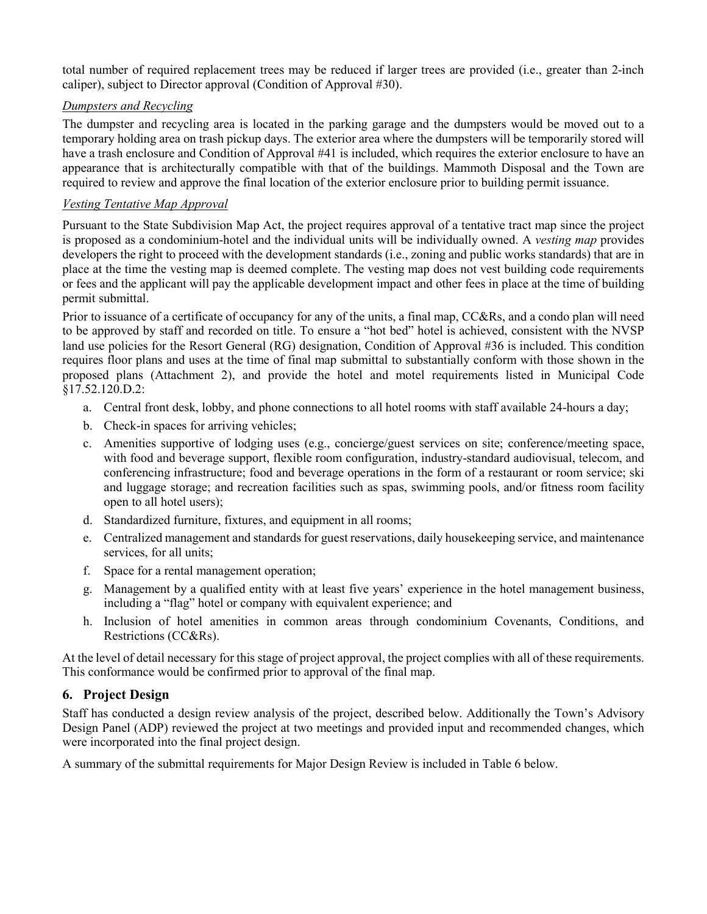total number of required replacement trees may be reduced if larger trees are provided (i.e., greater than 2-inch caliper), subject to Director approval (Condition of Approval #30).

## *Dumpsters and Recycling*

The dumpster and recycling area is located in the parking garage and the dumpsters would be moved out to a temporary holding area on trash pickup days. The exterior area where the dumpsters will be temporarily stored will have a trash enclosure and Condition of Approval #41 is included, which requires the exterior enclosure to have an appearance that is architecturally compatible with that of the buildings. Mammoth Disposal and the Town are required to review and approve the final location of the exterior enclosure prior to building permit issuance.

#### *Vesting Tentative Map Approval*

Pursuant to the State Subdivision Map Act, the project requires approval of a tentative tract map since the project is proposed as a condominium-hotel and the individual units will be individually owned. A *vesting map* provides developers the right to proceed with the development standards (i.e., zoning and public works standards) that are in place at the time the vesting map is deemed complete. The vesting map does not vest building code requirements or fees and the applicant will pay the applicable development impact and other fees in place at the time of building permit submittal.

Prior to issuance of a certificate of occupancy for any of the units, a final map, CC&Rs, and a condo plan will need to be approved by staff and recorded on title. To ensure a "hot bed" hotel is achieved, consistent with the NVSP land use policies for the Resort General (RG) designation, Condition of Approval #36 is included. This condition requires floor plans and uses at the time of final map submittal to substantially conform with those shown in the proposed plans (Attachment 2), and provide the hotel and motel requirements listed in Municipal Code §17.52.120.D.2:

- a. Central front desk, lobby, and phone connections to all hotel rooms with staff available 24-hours a day;
- b. Check-in spaces for arriving vehicles;
- c. Amenities supportive of lodging uses (e.g., concierge/guest services on site; conference/meeting space, with food and beverage support, flexible room configuration, industry-standard audiovisual, telecom, and conferencing infrastructure; food and beverage operations in the form of a restaurant or room service; ski and luggage storage; and recreation facilities such as spas, swimming pools, and/or fitness room facility open to all hotel users);
- d. Standardized furniture, fixtures, and equipment in all rooms;
- e. Centralized management and standards for guest reservations, daily housekeeping service, and maintenance services, for all units;
- f. Space for a rental management operation;
- g. Management by a qualified entity with at least five years' experience in the hotel management business, including a "flag" hotel or company with equivalent experience; and
- h. Inclusion of hotel amenities in common areas through condominium Covenants, Conditions, and Restrictions (CC&Rs).

At the level of detail necessary for this stage of project approval, the project complies with all of these requirements. This conformance would be confirmed prior to approval of the final map.

## **6. Project Design**

Staff has conducted a design review analysis of the project, described below. Additionally the Town's Advisory Design Panel (ADP) reviewed the project at two meetings and provided input and recommended changes, which were incorporated into the final project design.

A summary of the submittal requirements for Major Design Review is included in Table 6 below.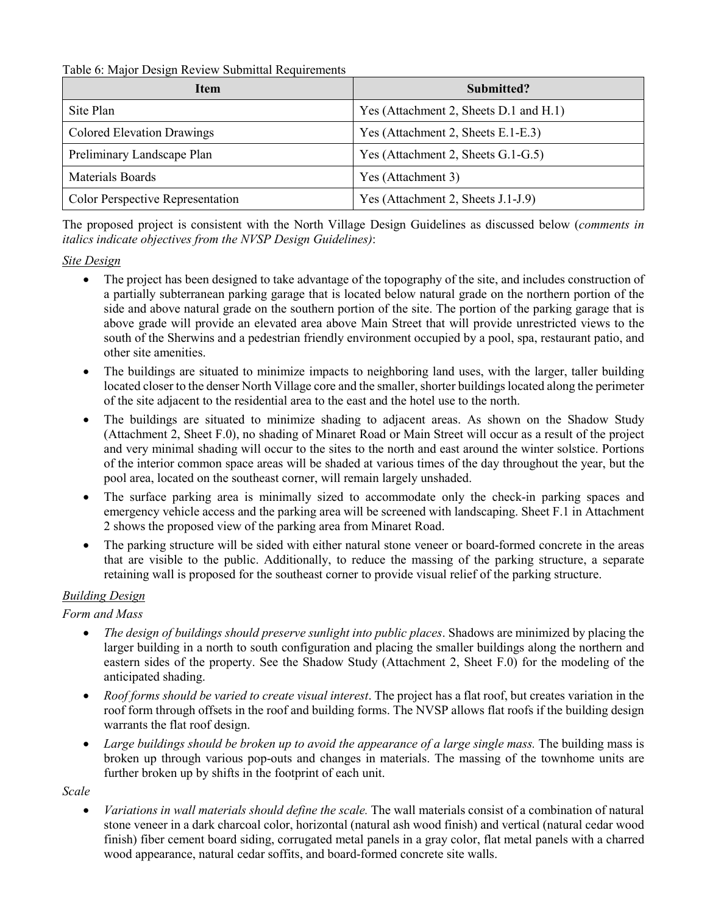Table 6: Major Design Review Submittal Requirements

| <b>Item</b>                             | Submitted?                             |  |
|-----------------------------------------|----------------------------------------|--|
| Site Plan                               | Yes (Attachment 2, Sheets D.1 and H.1) |  |
| <b>Colored Elevation Drawings</b>       | Yes (Attachment 2, Sheets E.1-E.3)     |  |
| Preliminary Landscape Plan              | Yes (Attachment 2, Sheets G.1-G.5)     |  |
| Materials Boards                        | Yes (Attachment 3)                     |  |
| <b>Color Perspective Representation</b> | Yes (Attachment 2, Sheets J.1-J.9)     |  |

The proposed project is consistent with the North Village Design Guidelines as discussed below (*comments in italics indicate objectives from the NVSP Design Guidelines)*:

#### *Site Design*

- The project has been designed to take advantage of the topography of the site, and includes construction of a partially subterranean parking garage that is located below natural grade on the northern portion of the side and above natural grade on the southern portion of the site. The portion of the parking garage that is above grade will provide an elevated area above Main Street that will provide unrestricted views to the south of the Sherwins and a pedestrian friendly environment occupied by a pool, spa, restaurant patio, and other site amenities.
- The buildings are situated to minimize impacts to neighboring land uses, with the larger, taller building located closer to the denser North Village core and the smaller, shorter buildings located along the perimeter of the site adjacent to the residential area to the east and the hotel use to the north.
- The buildings are situated to minimize shading to adjacent areas. As shown on the Shadow Study (Attachment 2, Sheet F.0), no shading of Minaret Road or Main Street will occur as a result of the project and very minimal shading will occur to the sites to the north and east around the winter solstice. Portions of the interior common space areas will be shaded at various times of the day throughout the year, but the pool area, located on the southeast corner, will remain largely unshaded.
- The surface parking area is minimally sized to accommodate only the check-in parking spaces and emergency vehicle access and the parking area will be screened with landscaping. Sheet F.1 in Attachment 2 shows the proposed view of the parking area from Minaret Road.
- The parking structure will be sided with either natural stone veneer or board-formed concrete in the areas that are visible to the public. Additionally, to reduce the massing of the parking structure, a separate retaining wall is proposed for the southeast corner to provide visual relief of the parking structure.

## *Building Design*

## *Form and Mass*

- *The design of buildings should preserve sunlight into public places*. Shadows are minimized by placing the larger building in a north to south configuration and placing the smaller buildings along the northern and eastern sides of the property. See the Shadow Study (Attachment 2, Sheet F.0) for the modeling of the anticipated shading.
- *Roof forms should be varied to create visual interest*. The project has a flat roof, but creates variation in the roof form through offsets in the roof and building forms. The NVSP allows flat roofs if the building design warrants the flat roof design.
- *Large buildings should be broken up to avoid the appearance of a large single mass.* The building mass is broken up through various pop-outs and changes in materials. The massing of the townhome units are further broken up by shifts in the footprint of each unit.

*Scale*

• *Variations in wall materials should define the scale.* The wall materials consist of a combination of natural stone veneer in a dark charcoal color, horizontal (natural ash wood finish) and vertical (natural cedar wood finish) fiber cement board siding, corrugated metal panels in a gray color, flat metal panels with a charred wood appearance, natural cedar soffits, and board-formed concrete site walls.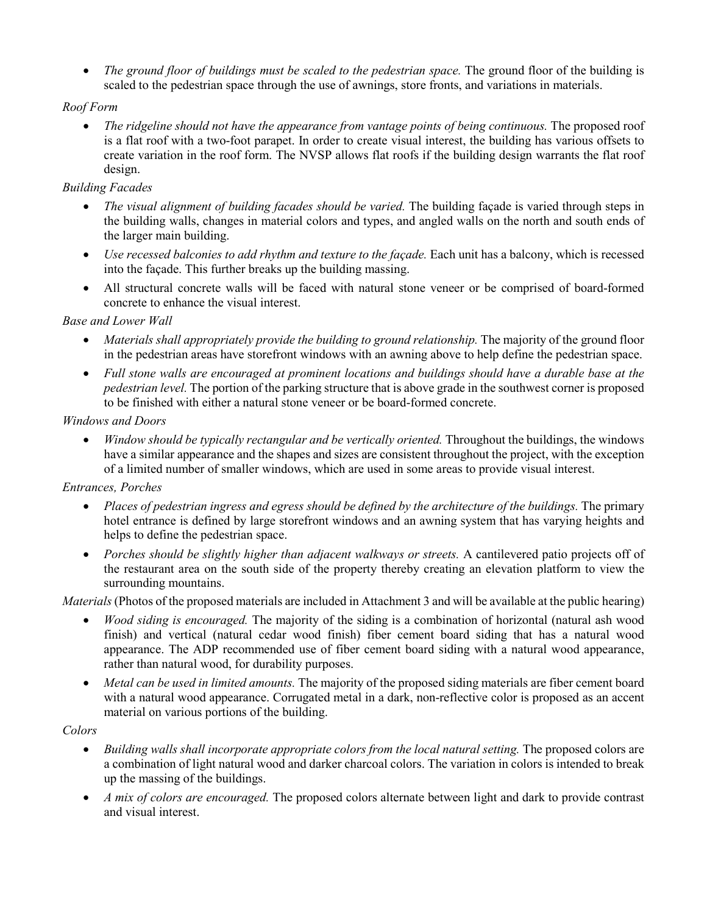• *The ground floor of buildings must be scaled to the pedestrian space.* The ground floor of the building is scaled to the pedestrian space through the use of awnings, store fronts, and variations in materials.

## *Roof Form*

• *The ridgeline should not have the appearance from vantage points of being continuous.* The proposed roof is a flat roof with a two-foot parapet. In order to create visual interest, the building has various offsets to create variation in the roof form. The NVSP allows flat roofs if the building design warrants the flat roof design.

#### *Building Facades*

- *The visual alignment of building facades should be varied.* The building façade is varied through steps in the building walls, changes in material colors and types, and angled walls on the north and south ends of the larger main building.
- *Use recessed balconies to add rhythm and texture to the façade.* Each unit has a balcony, which is recessed into the façade. This further breaks up the building massing.
- All structural concrete walls will be faced with natural stone veneer or be comprised of board-formed concrete to enhance the visual interest.

#### *Base and Lower Wall*

- *Materials shall appropriately provide the building to ground relationship.* The majority of the ground floor in the pedestrian areas have storefront windows with an awning above to help define the pedestrian space.
- *Full stone walls are encouraged at prominent locations and buildings should have a durable base at the pedestrian level.* The portion of the parking structure that is above grade in the southwest corner is proposed to be finished with either a natural stone veneer or be board-formed concrete.

#### *Windows and Doors*

• *Window should be typically rectangular and be vertically oriented.* Throughout the buildings, the windows have a similar appearance and the shapes and sizes are consistent throughout the project, with the exception of a limited number of smaller windows, which are used in some areas to provide visual interest.

## *Entrances, Porches*

- *Places of pedestrian ingress and egress should be defined by the architecture of the buildings.* The primary hotel entrance is defined by large storefront windows and an awning system that has varying heights and helps to define the pedestrian space.
- *Porches should be slightly higher than adjacent walkways or streets.* A cantilevered patio projects off of the restaurant area on the south side of the property thereby creating an elevation platform to view the surrounding mountains.

*Materials* (Photos of the proposed materials are included in Attachment 3 and will be available at the public hearing)

- *Wood siding is encouraged.* The majority of the siding is a combination of horizontal (natural ash wood finish) and vertical (natural cedar wood finish) fiber cement board siding that has a natural wood appearance. The ADP recommended use of fiber cement board siding with a natural wood appearance, rather than natural wood, for durability purposes.
- *Metal can be used in limited amounts.* The majority of the proposed siding materials are fiber cement board with a natural wood appearance. Corrugated metal in a dark, non-reflective color is proposed as an accent material on various portions of the building.

## *Colors*

- *Building walls shall incorporate appropriate colors from the local natural setting.* The proposed colors are a combination of light natural wood and darker charcoal colors. The variation in colors is intended to break up the massing of the buildings.
- *A mix of colors are encouraged.* The proposed colors alternate between light and dark to provide contrast and visual interest.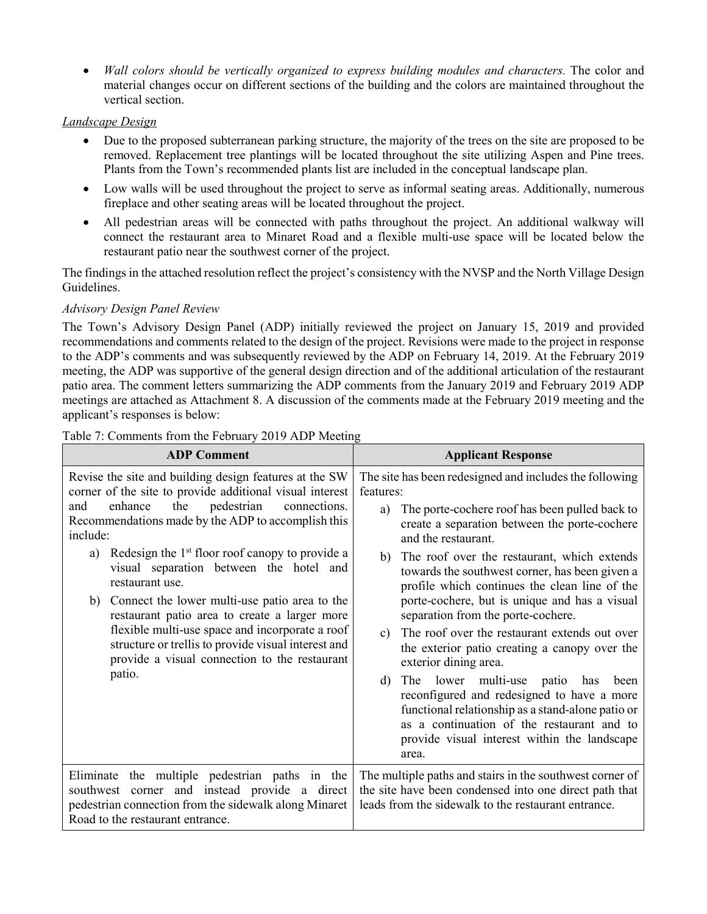• *Wall colors should be vertically organized to express building modules and characters.* The color and material changes occur on different sections of the building and the colors are maintained throughout the vertical section.

#### *Landscape Design*

- Due to the proposed subterranean parking structure, the majority of the trees on the site are proposed to be removed. Replacement tree plantings will be located throughout the site utilizing Aspen and Pine trees. Plants from the Town's recommended plants list are included in the conceptual landscape plan.
- Low walls will be used throughout the project to serve as informal seating areas. Additionally, numerous fireplace and other seating areas will be located throughout the project.
- All pedestrian areas will be connected with paths throughout the project. An additional walkway will connect the restaurant area to Minaret Road and a flexible multi-use space will be located below the restaurant patio near the southwest corner of the project.

The findings in the attached resolution reflect the project's consistency with the NVSP and the North Village Design Guidelines.

#### *Advisory Design Panel Review*

The Town's Advisory Design Panel (ADP) initially reviewed the project on January 15, 2019 and provided recommendations and comments related to the design of the project. Revisions were made to the project in response to the ADP's comments and was subsequently reviewed by the ADP on February 14, 2019. At the February 2019 meeting, the ADP was supportive of the general design direction and of the additional articulation of the restaurant patio area. The comment letters summarizing the ADP comments from the January 2019 and February 2019 ADP meetings are attached as Attachment 8. A discussion of the comments made at the February 2019 meeting and the applicant's responses is below:

| <b>ADP Comment</b>                                                                                                                                                                                                                                                                                                                                                                                                                                                                                                                                                                                                                                       | <b>Applicant Response</b>                                                                                                                                                                                                                                                                                                                                                                                                                                                                                                                                                                                                                                                                                                                                                                                                                                 |
|----------------------------------------------------------------------------------------------------------------------------------------------------------------------------------------------------------------------------------------------------------------------------------------------------------------------------------------------------------------------------------------------------------------------------------------------------------------------------------------------------------------------------------------------------------------------------------------------------------------------------------------------------------|-----------------------------------------------------------------------------------------------------------------------------------------------------------------------------------------------------------------------------------------------------------------------------------------------------------------------------------------------------------------------------------------------------------------------------------------------------------------------------------------------------------------------------------------------------------------------------------------------------------------------------------------------------------------------------------------------------------------------------------------------------------------------------------------------------------------------------------------------------------|
| Revise the site and building design features at the SW<br>corner of the site to provide additional visual interest<br>the<br>pedestrian<br>enhance<br>connections.<br>and<br>Recommendations made by the ADP to accomplish this<br>include:<br>Redesign the 1 <sup>st</sup> floor roof canopy to provide a<br>a)<br>visual separation between the hotel and<br>restaurant use.<br>b) Connect the lower multi-use patio area to the<br>restaurant patio area to create a larger more<br>flexible multi-use space and incorporate a roof<br>structure or trellis to provide visual interest and<br>provide a visual connection to the restaurant<br>patio. | The site has been redesigned and includes the following<br>features:<br>The porte-cochere roof has been pulled back to<br>a)<br>create a separation between the porte-cochere<br>and the restaurant.<br>The roof over the restaurant, which extends<br>b)<br>towards the southwest corner, has been given a<br>profile which continues the clean line of the<br>porte-cochere, but is unique and has a visual<br>separation from the porte-cochere.<br>The roof over the restaurant extends out over<br>$\mathbf{c}$ )<br>the exterior patio creating a canopy over the<br>exterior dining area.<br>The lower multi-use patio has<br>d)<br>been<br>reconfigured and redesigned to have a more<br>functional relationship as a stand-alone patio or<br>as a continuation of the restaurant and to<br>provide visual interest within the landscape<br>area. |
| Eliminate the multiple pedestrian paths in the<br>southwest corner and instead provide a direct<br>pedestrian connection from the sidewalk along Minaret<br>Road to the restaurant entrance.                                                                                                                                                                                                                                                                                                                                                                                                                                                             | The multiple paths and stairs in the southwest corner of<br>the site have been condensed into one direct path that<br>leads from the sidewalk to the restaurant entrance.                                                                                                                                                                                                                                                                                                                                                                                                                                                                                                                                                                                                                                                                                 |

#### Table 7: Comments from the February 2019 ADP Meeting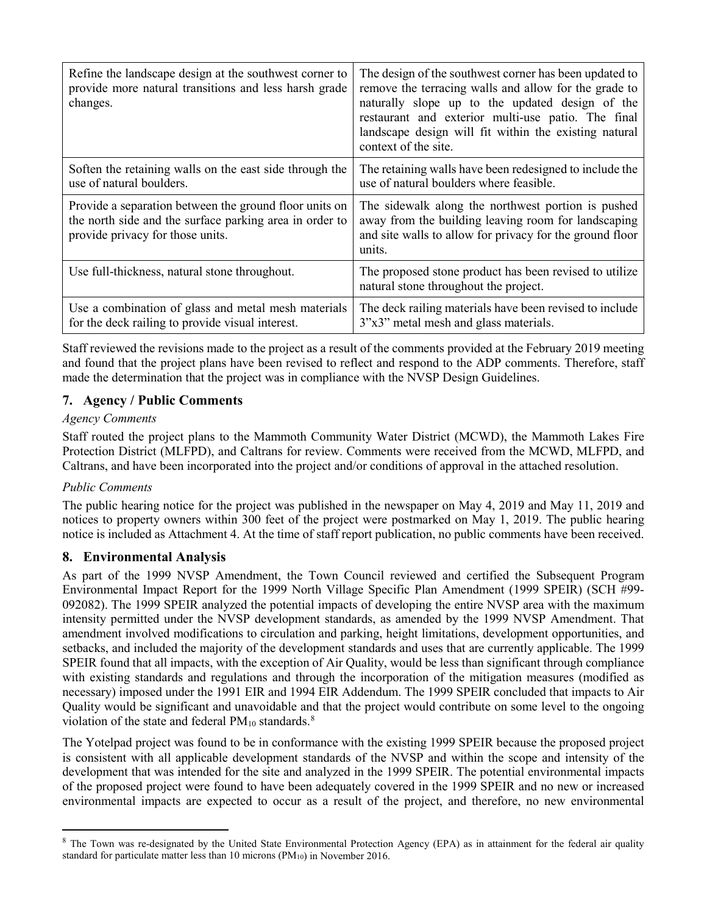| Refine the landscape design at the southwest corner to<br>provide more natural transitions and less harsh grade<br>changes.                           | The design of the southwest corner has been updated to<br>remove the terracing walls and allow for the grade to<br>naturally slope up to the updated design of the<br>restaurant and exterior multi-use patio. The final<br>landscape design will fit within the existing natural<br>context of the site. |
|-------------------------------------------------------------------------------------------------------------------------------------------------------|-----------------------------------------------------------------------------------------------------------------------------------------------------------------------------------------------------------------------------------------------------------------------------------------------------------|
| Soften the retaining walls on the east side through the<br>use of natural boulders.                                                                   | The retaining walls have been redesigned to include the<br>use of natural boulders where feasible.                                                                                                                                                                                                        |
| Provide a separation between the ground floor units on<br>the north side and the surface parking area in order to<br>provide privacy for those units. | The sidewalk along the northwest portion is pushed<br>away from the building leaving room for landscaping<br>and site walls to allow for privacy for the ground floor<br>units.                                                                                                                           |
| Use full-thickness, natural stone throughout.                                                                                                         | The proposed stone product has been revised to utilize<br>natural stone throughout the project.                                                                                                                                                                                                           |
| Use a combination of glass and metal mesh materials<br>for the deck railing to provide visual interest.                                               | The deck railing materials have been revised to include<br>3"x3" metal mesh and glass materials.                                                                                                                                                                                                          |

Staff reviewed the revisions made to the project as a result of the comments provided at the February 2019 meeting and found that the project plans have been revised to reflect and respond to the ADP comments. Therefore, staff made the determination that the project was in compliance with the NVSP Design Guidelines.

# **7. Agency / Public Comments**

## *Agency Comments*

Staff routed the project plans to the Mammoth Community Water District (MCWD), the Mammoth Lakes Fire Protection District (MLFPD), and Caltrans for review. Comments were received from the MCWD, MLFPD, and Caltrans, and have been incorporated into the project and/or conditions of approval in the attached resolution.

## *Public Comments*

The public hearing notice for the project was published in the newspaper on May 4, 2019 and May 11, 2019 and notices to property owners within 300 feet of the project were postmarked on May 1, 2019. The public hearing notice is included as Attachment 4. At the time of staff report publication, no public comments have been received.

## **8. Environmental Analysis**

As part of the 1999 NVSP Amendment, the Town Council reviewed and certified the Subsequent Program Environmental Impact Report for the 1999 North Village Specific Plan Amendment (1999 SPEIR) (SCH #99- 092082). The 1999 SPEIR analyzed the potential impacts of developing the entire NVSP area with the maximum intensity permitted under the NVSP development standards, as amended by the 1999 NVSP Amendment. That amendment involved modifications to circulation and parking, height limitations, development opportunities, and setbacks, and included the majority of the development standards and uses that are currently applicable. The 1999 SPEIR found that all impacts, with the exception of Air Quality, would be less than significant through compliance with existing standards and regulations and through the incorporation of the mitigation measures (modified as necessary) imposed under the 1991 EIR and 1994 EIR Addendum. The 1999 SPEIR concluded that impacts to Air Quality would be significant and unavoidable and that the project would contribute on some level to the ongoing violation of the state and federal  $PM_{10}$  standards.<sup>[8](#page-16-0)</sup>

The Yotelpad project was found to be in conformance with the existing 1999 SPEIR because the proposed project is consistent with all applicable development standards of the NVSP and within the scope and intensity of the development that was intended for the site and analyzed in the 1999 SPEIR. The potential environmental impacts of the proposed project were found to have been adequately covered in the 1999 SPEIR and no new or increased environmental impacts are expected to occur as a result of the project, and therefore, no new environmental

<span id="page-16-0"></span><sup>&</sup>lt;sup>8</sup> The Town was re-designated by the United State Environmental Protection Agency (EPA) as in attainment for the federal air quality standard for particulate matter less than 10 microns  $(PM_{10})$  in November 2016.